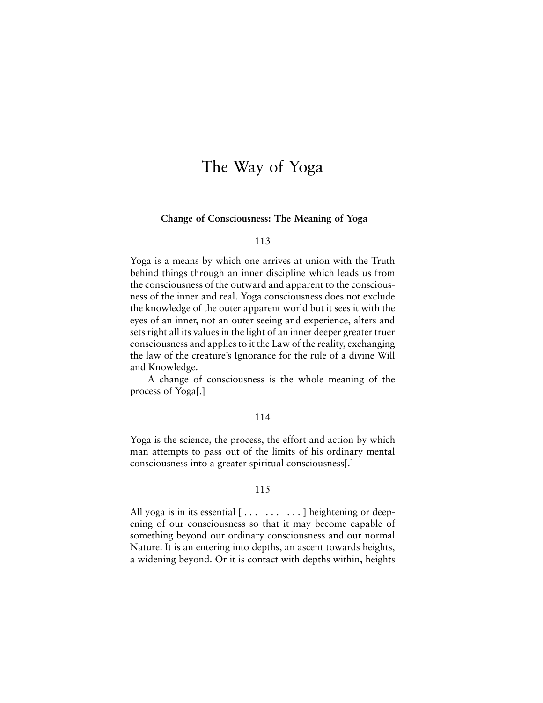# The Way of Yoga

#### **Change of Consciousness: The Meaning of Yoga**

## 113

Yoga is a means by which one arrives at union with the Truth behind things through an inner discipline which leads us from the consciousness of the outward and apparent to the consciousness of the inner and real. Yoga consciousness does not exclude the knowledge of the outer apparent world but it sees it with the eyes of an inner, not an outer seeing and experience, alters and sets right all its values in the light of an inner deeper greater truer consciousness and applies to it the Law of the reality, exchanging the law of the creature's Ignorance for the rule of a divine Will and Knowledge.

A change of consciousness is the whole meaning of the process of Yoga[.]

## 114

Yoga is the science, the process, the effort and action by which man attempts to pass out of the limits of his ordinary mental consciousness into a greater spiritual consciousness[.]

#### 115

All yoga is in its essential  $[\ldots \ldots \ldots]$  heightening or deepening of our consciousness so that it may become capable of something beyond our ordinary consciousness and our normal Nature. It is an entering into depths, an ascent towards heights, a widening beyond. Or it is contact with depths within, heights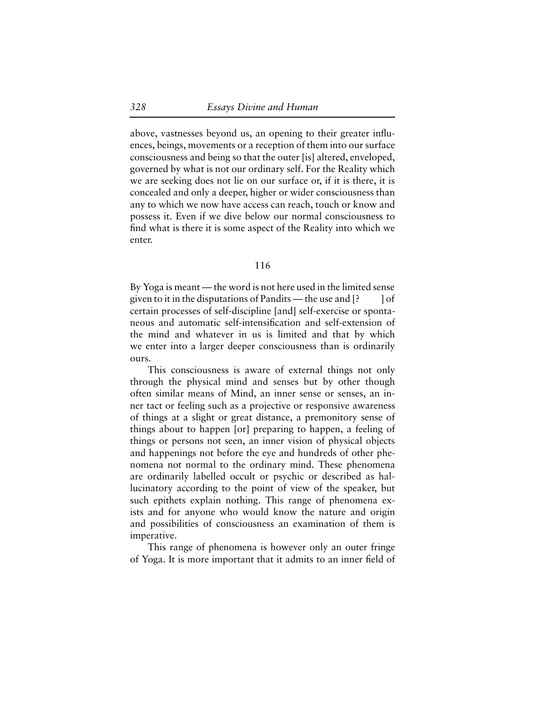above, vastnesses beyond us, an opening to their greater influences, beings, movements or a reception of them into our surface consciousness and being so that the outer [is] altered, enveloped, governed by what is not our ordinary self. For the Reality which we are seeking does not lie on our surface or, if it is there, it is concealed and only a deeper, higher or wider consciousness than any to which we now have access can reach, touch or know and possess it. Even if we dive below our normal consciousness to find what is there it is some aspect of the Reality into which we enter.

#### 116

By Yoga is meant — the word is not here used in the limited sense given to it in the disputations of Pandits — the use and  $[$ ?  $]$  of certain processes of self-discipline [and] self-exercise or spontaneous and automatic self-intensification and self-extension of the mind and whatever in us is limited and that by which we enter into a larger deeper consciousness than is ordinarily ours.

This consciousness is aware of external things not only through the physical mind and senses but by other though often similar means of Mind, an inner sense or senses, an inner tact or feeling such as a projective or responsive awareness of things at a slight or great distance, a premonitory sense of things about to happen [or] preparing to happen, a feeling of things or persons not seen, an inner vision of physical objects and happenings not before the eye and hundreds of other phenomena not normal to the ordinary mind. These phenomena are ordinarily labelled occult or psychic or described as hallucinatory according to the point of view of the speaker, but such epithets explain nothing. This range of phenomena exists and for anyone who would know the nature and origin and possibilities of consciousness an examination of them is imperative.

This range of phenomena is however only an outer fringe of Yoga. It is more important that it admits to an inner field of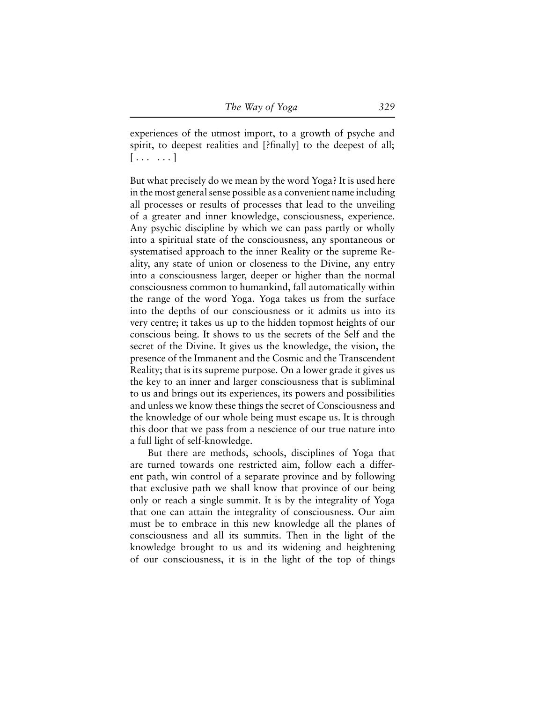experiences of the utmost import, to a growth of psyche and spirit, to deepest realities and [?finally] to the deepest of all; [... ...]

But what precisely do we mean by the word Yoga? It is used here in the most general sense possible as a convenient name including all processes or results of processes that lead to the unveiling of a greater and inner knowledge, consciousness, experience. Any psychic discipline by which we can pass partly or wholly into a spiritual state of the consciousness, any spontaneous or systematised approach to the inner Reality or the supreme Reality, any state of union or closeness to the Divine, any entry into a consciousness larger, deeper or higher than the normal consciousness common to humankind, fall automatically within the range of the word Yoga. Yoga takes us from the surface into the depths of our consciousness or it admits us into its very centre; it takes us up to the hidden topmost heights of our conscious being. It shows to us the secrets of the Self and the secret of the Divine. It gives us the knowledge, the vision, the presence of the Immanent and the Cosmic and the Transcendent Reality; that is its supreme purpose. On a lower grade it gives us the key to an inner and larger consciousness that is subliminal to us and brings out its experiences, its powers and possibilities and unless we know these things the secret of Consciousness and the knowledge of our whole being must escape us. It is through this door that we pass from a nescience of our true nature into a full light of self-knowledge.

But there are methods, schools, disciplines of Yoga that are turned towards one restricted aim, follow each a different path, win control of a separate province and by following that exclusive path we shall know that province of our being only or reach a single summit. It is by the integrality of Yoga that one can attain the integrality of consciousness. Our aim must be to embrace in this new knowledge all the planes of consciousness and all its summits. Then in the light of the knowledge brought to us and its widening and heightening of our consciousness, it is in the light of the top of things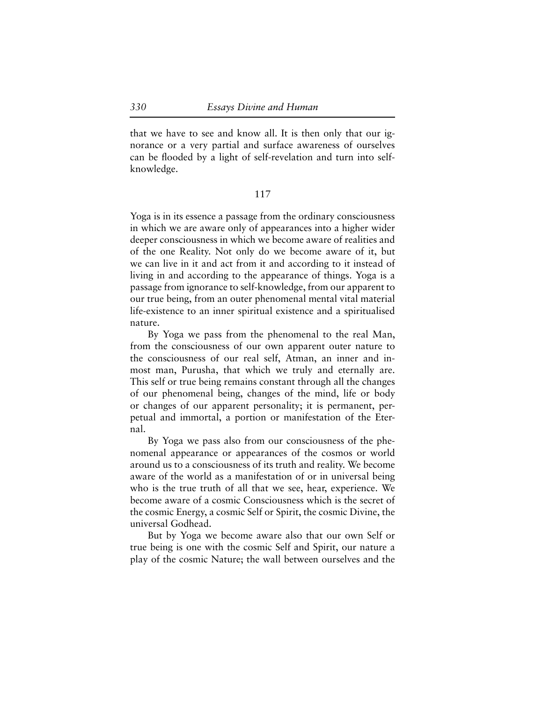that we have to see and know all. It is then only that our ignorance or a very partial and surface awareness of ourselves can be flooded by a light of self-revelation and turn into selfknowledge.

#### 117

Yoga is in its essence a passage from the ordinary consciousness in which we are aware only of appearances into a higher wider deeper consciousness in which we become aware of realities and of the one Reality. Not only do we become aware of it, but we can live in it and act from it and according to it instead of living in and according to the appearance of things. Yoga is a passage from ignorance to self-knowledge, from our apparent to our true being, from an outer phenomenal mental vital material life-existence to an inner spiritual existence and a spiritualised nature.

By Yoga we pass from the phenomenal to the real Man, from the consciousness of our own apparent outer nature to the consciousness of our real self, Atman, an inner and inmost man, Purusha, that which we truly and eternally are. This self or true being remains constant through all the changes of our phenomenal being, changes of the mind, life or body or changes of our apparent personality; it is permanent, perpetual and immortal, a portion or manifestation of the Eternal.

By Yoga we pass also from our consciousness of the phenomenal appearance or appearances of the cosmos or world around us to a consciousness of its truth and reality. We become aware of the world as a manifestation of or in universal being who is the true truth of all that we see, hear, experience. We become aware of a cosmic Consciousness which is the secret of the cosmic Energy, a cosmic Self or Spirit, the cosmic Divine, the universal Godhead.

But by Yoga we become aware also that our own Self or true being is one with the cosmic Self and Spirit, our nature a play of the cosmic Nature; the wall between ourselves and the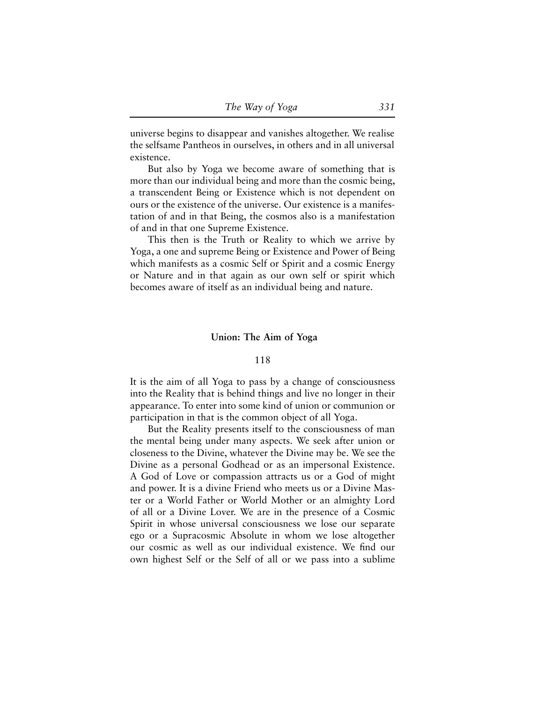universe begins to disappear and vanishes altogether. We realise the selfsame Pantheos in ourselves, in others and in all universal existence.

But also by Yoga we become aware of something that is more than our individual being and more than the cosmic being, a transcendent Being or Existence which is not dependent on ours or the existence of the universe. Our existence is a manifestation of and in that Being, the cosmos also is a manifestation of and in that one Supreme Existence.

This then is the Truth or Reality to which we arrive by Yoga, a one and supreme Being or Existence and Power of Being which manifests as a cosmic Self or Spirit and a cosmic Energy or Nature and in that again as our own self or spirit which becomes aware of itself as an individual being and nature.

## **Union: The Aim of Yoga**

## 118

It is the aim of all Yoga to pass by a change of consciousness into the Reality that is behind things and live no longer in their appearance. To enter into some kind of union or communion or participation in that is the common object of all Yoga.

But the Reality presents itself to the consciousness of man the mental being under many aspects. We seek after union or closeness to the Divine, whatever the Divine may be. We see the Divine as a personal Godhead or as an impersonal Existence. A God of Love or compassion attracts us or a God of might and power. It is a divine Friend who meets us or a Divine Master or a World Father or World Mother or an almighty Lord of all or a Divine Lover. We are in the presence of a Cosmic Spirit in whose universal consciousness we lose our separate ego or a Supracosmic Absolute in whom we lose altogether our cosmic as well as our individual existence. We find our own highest Self or the Self of all or we pass into a sublime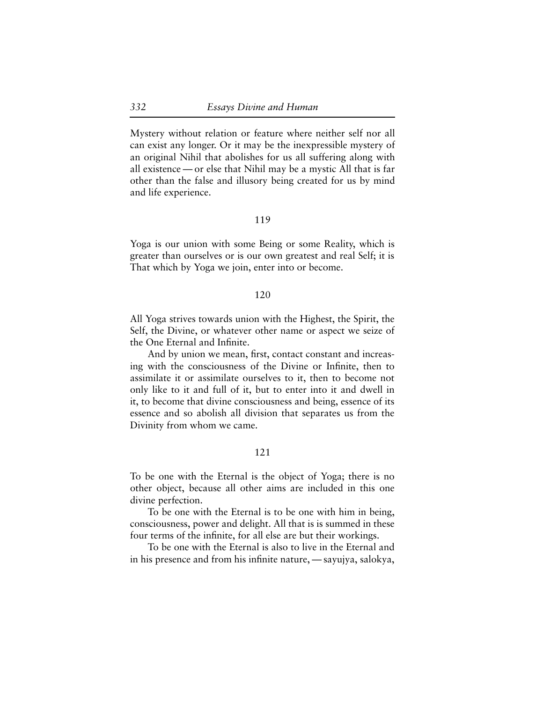Mystery without relation or feature where neither self nor all can exist any longer. Or it may be the inexpressible mystery of an original Nihil that abolishes for us all suffering along with all existence — or else that Nihil may be a mystic All that is far other than the false and illusory being created for us by mind and life experience.

#### 119

Yoga is our union with some Being or some Reality, which is greater than ourselves or is our own greatest and real Self; it is That which by Yoga we join, enter into or become.

## 120

All Yoga strives towards union with the Highest, the Spirit, the Self, the Divine, or whatever other name or aspect we seize of the One Eternal and Infinite.

And by union we mean, first, contact constant and increasing with the consciousness of the Divine or Infinite, then to assimilate it or assimilate ourselves to it, then to become not only like to it and full of it, but to enter into it and dwell in it, to become that divine consciousness and being, essence of its essence and so abolish all division that separates us from the Divinity from whom we came.

#### 121

To be one with the Eternal is the object of Yoga; there is no other object, because all other aims are included in this one divine perfection.

To be one with the Eternal is to be one with him in being, consciousness, power and delight. All that is is summed in these four terms of the infinite, for all else are but their workings.

To be one with the Eternal is also to live in the Eternal and in his presence and from his infinite nature, — sayujya, salokya,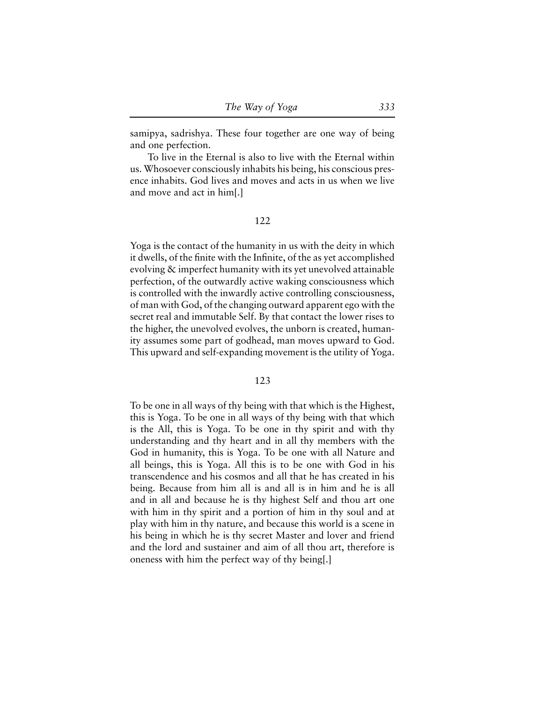samipya, sadrishya. These four together are one way of being and one perfection.

To live in the Eternal is also to live with the Eternal within us. Whosoever consciously inhabits his being, his conscious presence inhabits. God lives and moves and acts in us when we live and move and act in him[.]

## 122

Yoga is the contact of the humanity in us with the deity in which it dwells, of the finite with the Infinite, of the as yet accomplished evolving & imperfect humanity with its yet unevolved attainable perfection, of the outwardly active waking consciousness which is controlled with the inwardly active controlling consciousness, of man with God, of the changing outward apparent ego with the secret real and immutable Self. By that contact the lower rises to the higher, the unevolved evolves, the unborn is created, humanity assumes some part of godhead, man moves upward to God. This upward and self-expanding movement is the utility of Yoga.

## 123

To be one in all ways of thy being with that which is the Highest, this is Yoga. To be one in all ways of thy being with that which is the All, this is Yoga. To be one in thy spirit and with thy understanding and thy heart and in all thy members with the God in humanity, this is Yoga. To be one with all Nature and all beings, this is Yoga. All this is to be one with God in his transcendence and his cosmos and all that he has created in his being. Because from him all is and all is in him and he is all and in all and because he is thy highest Self and thou art one with him in thy spirit and a portion of him in thy soul and at play with him in thy nature, and because this world is a scene in his being in which he is thy secret Master and lover and friend and the lord and sustainer and aim of all thou art, therefore is oneness with him the perfect way of thy being[.]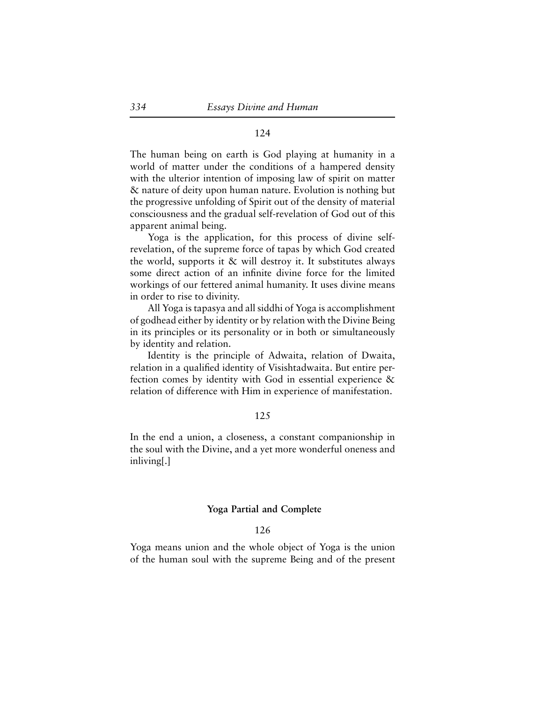## 124

The human being on earth is God playing at humanity in a world of matter under the conditions of a hampered density with the ulterior intention of imposing law of spirit on matter & nature of deity upon human nature. Evolution is nothing but the progressive unfolding of Spirit out of the density of material consciousness and the gradual self-revelation of God out of this apparent animal being.

Yoga is the application, for this process of divine selfrevelation, of the supreme force of tapas by which God created the world, supports it  $\&$  will destroy it. It substitutes always some direct action of an infinite divine force for the limited workings of our fettered animal humanity. It uses divine means in order to rise to divinity.

All Yoga is tapasya and all siddhi of Yoga is accomplishment of godhead either by identity or by relation with the Divine Being in its principles or its personality or in both or simultaneously by identity and relation.

Identity is the principle of Adwaita, relation of Dwaita, relation in a qualified identity of Visishtadwaita. But entire perfection comes by identity with God in essential experience & relation of difference with Him in experience of manifestation.

#### 125

In the end a union, a closeness, a constant companionship in the soul with the Divine, and a yet more wonderful oneness and inliving[.]

#### **Yoga Partial and Complete**

## 126

Yoga means union and the whole object of Yoga is the union of the human soul with the supreme Being and of the present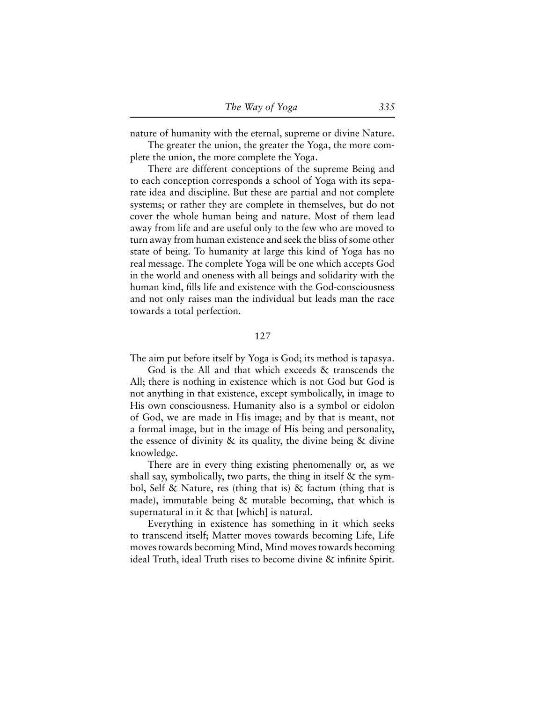nature of humanity with the eternal, supreme or divine Nature.

The greater the union, the greater the Yoga, the more complete the union, the more complete the Yoga.

There are different conceptions of the supreme Being and to each conception corresponds a school of Yoga with its separate idea and discipline. But these are partial and not complete systems; or rather they are complete in themselves, but do not cover the whole human being and nature. Most of them lead away from life and are useful only to the few who are moved to turn away from human existence and seek the bliss of some other state of being. To humanity at large this kind of Yoga has no real message. The complete Yoga will be one which accepts God in the world and oneness with all beings and solidarity with the human kind, fills life and existence with the God-consciousness and not only raises man the individual but leads man the race towards a total perfection.

#### 127

The aim put before itself by Yoga is God; its method is tapasya.

God is the All and that which exceeds & transcends the All; there is nothing in existence which is not God but God is not anything in that existence, except symbolically, in image to His own consciousness. Humanity also is a symbol or eidolon of God, we are made in His image; and by that is meant, not a formal image, but in the image of His being and personality, the essence of divinity  $\&$  its quality, the divine being  $\&$  divine knowledge.

There are in every thing existing phenomenally or, as we shall say, symbolically, two parts, the thing in itself  $\&$  the symbol, Self & Nature, res (thing that is) & factum (thing that is made), immutable being & mutable becoming, that which is supernatural in it & that [which] is natural.

Everything in existence has something in it which seeks to transcend itself; Matter moves towards becoming Life, Life moves towards becoming Mind, Mind moves towards becoming ideal Truth, ideal Truth rises to become divine & infinite Spirit.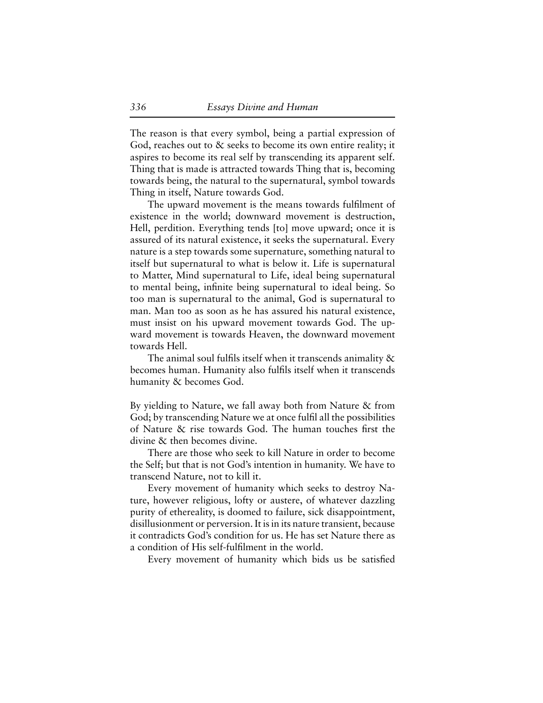The reason is that every symbol, being a partial expression of God, reaches out to & seeks to become its own entire reality; it aspires to become its real self by transcending its apparent self. Thing that is made is attracted towards Thing that is, becoming towards being, the natural to the supernatural, symbol towards Thing in itself, Nature towards God.

The upward movement is the means towards fulfilment of existence in the world; downward movement is destruction, Hell, perdition. Everything tends [to] move upward; once it is assured of its natural existence, it seeks the supernatural. Every nature is a step towards some supernature, something natural to itself but supernatural to what is below it. Life is supernatural to Matter, Mind supernatural to Life, ideal being supernatural to mental being, infinite being supernatural to ideal being. So too man is supernatural to the animal, God is supernatural to man. Man too as soon as he has assured his natural existence, must insist on his upward movement towards God. The upward movement is towards Heaven, the downward movement towards Hell.

The animal soul fulfils itself when it transcends animality & becomes human. Humanity also fulfils itself when it transcends humanity & becomes God.

By yielding to Nature, we fall away both from Nature & from God; by transcending Nature we at once fulfil all the possibilities of Nature & rise towards God. The human touches first the divine & then becomes divine.

There are those who seek to kill Nature in order to become the Self; but that is not God's intention in humanity. We have to transcend Nature, not to kill it.

Every movement of humanity which seeks to destroy Nature, however religious, lofty or austere, of whatever dazzling purity of ethereality, is doomed to failure, sick disappointment, disillusionment or perversion. It is in its nature transient, because it contradicts God's condition for us. He has set Nature there as a condition of His self-fulfilment in the world.

Every movement of humanity which bids us be satisfied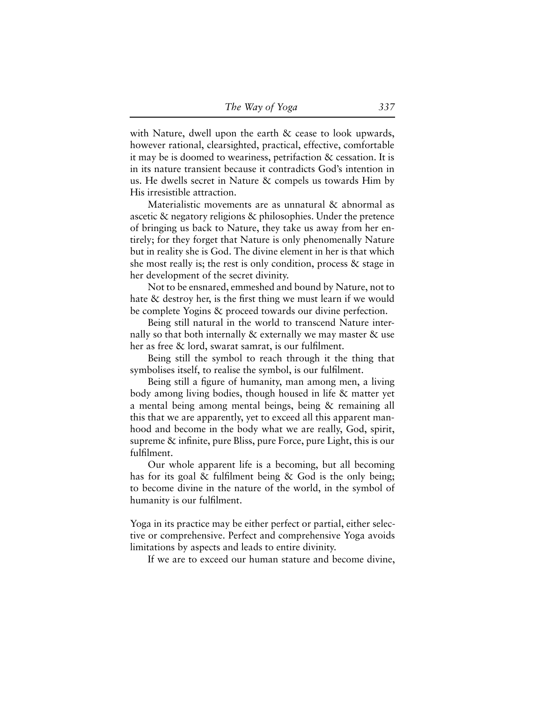with Nature, dwell upon the earth & cease to look upwards, however rational, clearsighted, practical, effective, comfortable it may be is doomed to weariness, petrifaction & cessation. It is in its nature transient because it contradicts God's intention in us. He dwells secret in Nature & compels us towards Him by His irresistible attraction.

Materialistic movements are as unnatural & abnormal as ascetic & negatory religions & philosophies. Under the pretence of bringing us back to Nature, they take us away from her entirely; for they forget that Nature is only phenomenally Nature but in reality she is God. The divine element in her is that which she most really is; the rest is only condition, process & stage in her development of the secret divinity.

Not to be ensnared, emmeshed and bound by Nature, not to hate & destroy her, is the first thing we must learn if we would be complete Yogins & proceed towards our divine perfection.

Being still natural in the world to transcend Nature internally so that both internally & externally we may master & use her as free & lord, swarat samrat, is our fulfilment.

Being still the symbol to reach through it the thing that symbolises itself, to realise the symbol, is our fulfilment.

Being still a figure of humanity, man among men, a living body among living bodies, though housed in life & matter yet a mental being among mental beings, being & remaining all this that we are apparently, yet to exceed all this apparent manhood and become in the body what we are really, God, spirit, supreme & infinite, pure Bliss, pure Force, pure Light, this is our fulfilment.

Our whole apparent life is a becoming, but all becoming has for its goal & fulfilment being & God is the only being; to become divine in the nature of the world, in the symbol of humanity is our fulfilment.

Yoga in its practice may be either perfect or partial, either selective or comprehensive. Perfect and comprehensive Yoga avoids limitations by aspects and leads to entire divinity.

If we are to exceed our human stature and become divine,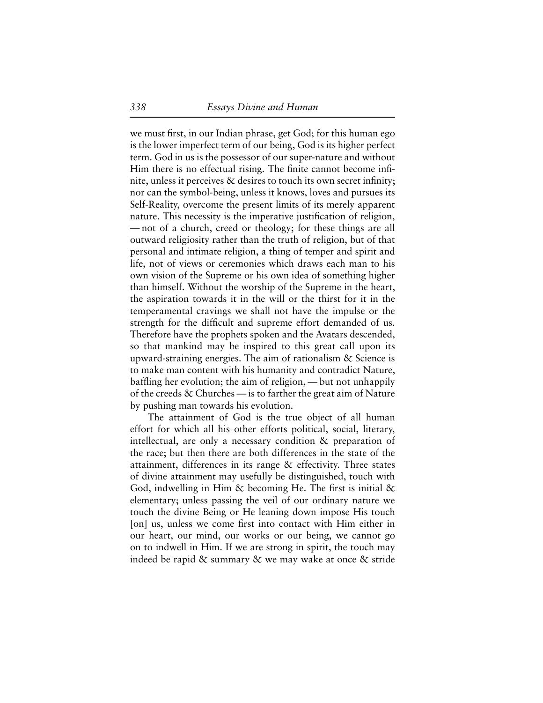we must first, in our Indian phrase, get God; for this human ego is the lower imperfect term of our being, God is its higher perfect term. God in us is the possessor of our super-nature and without Him there is no effectual rising. The finite cannot become infinite, unless it perceives & desires to touch its own secret infinity; nor can the symbol-being, unless it knows, loves and pursues its Self-Reality, overcome the present limits of its merely apparent nature. This necessity is the imperative justification of religion, — not of a church, creed or theology; for these things are all outward religiosity rather than the truth of religion, but of that personal and intimate religion, a thing of temper and spirit and life, not of views or ceremonies which draws each man to his own vision of the Supreme or his own idea of something higher than himself. Without the worship of the Supreme in the heart, the aspiration towards it in the will or the thirst for it in the temperamental cravings we shall not have the impulse or the strength for the difficult and supreme effort demanded of us. Therefore have the prophets spoken and the Avatars descended, so that mankind may be inspired to this great call upon its upward-straining energies. The aim of rationalism & Science is to make man content with his humanity and contradict Nature, baffling her evolution; the aim of religion, — but not unhappily of the creeds & Churches — is to farther the great aim of Nature by pushing man towards his evolution.

The attainment of God is the true object of all human effort for which all his other efforts political, social, literary, intellectual, are only a necessary condition & preparation of the race; but then there are both differences in the state of the attainment, differences in its range & effectivity. Three states of divine attainment may usefully be distinguished, touch with God, indwelling in Him  $\&$  becoming He. The first is initial  $\&$ elementary; unless passing the veil of our ordinary nature we touch the divine Being or He leaning down impose His touch [on] us, unless we come first into contact with Him either in our heart, our mind, our works or our being, we cannot go on to indwell in Him. If we are strong in spirit, the touch may indeed be rapid & summary & we may wake at once & stride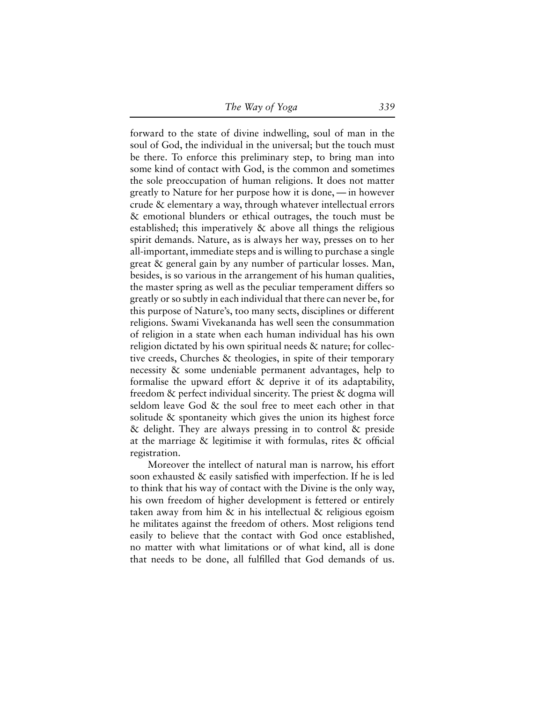forward to the state of divine indwelling, soul of man in the soul of God, the individual in the universal; but the touch must be there. To enforce this preliminary step, to bring man into some kind of contact with God, is the common and sometimes the sole preoccupation of human religions. It does not matter greatly to Nature for her purpose how it is done, — in however crude & elementary a way, through whatever intellectual errors & emotional blunders or ethical outrages, the touch must be established; this imperatively & above all things the religious spirit demands. Nature, as is always her way, presses on to her all-important, immediate steps and is willing to purchase a single great & general gain by any number of particular losses. Man, besides, is so various in the arrangement of his human qualities, the master spring as well as the peculiar temperament differs so greatly or so subtly in each individual that there can never be, for this purpose of Nature's, too many sects, disciplines or different religions. Swami Vivekananda has well seen the consummation of religion in a state when each human individual has his own religion dictated by his own spiritual needs & nature; for collective creeds, Churches & theologies, in spite of their temporary necessity & some undeniable permanent advantages, help to formalise the upward effort & deprive it of its adaptability, freedom & perfect individual sincerity. The priest & dogma will seldom leave God & the soul free to meet each other in that solitude & spontaneity which gives the union its highest force & delight. They are always pressing in to control & preside at the marriage & legitimise it with formulas, rites & official registration.

Moreover the intellect of natural man is narrow, his effort soon exhausted & easily satisfied with imperfection. If he is led to think that his way of contact with the Divine is the only way, his own freedom of higher development is fettered or entirely taken away from him  $\&$  in his intellectual  $\&$  religious egoism he militates against the freedom of others. Most religions tend easily to believe that the contact with God once established, no matter with what limitations or of what kind, all is done that needs to be done, all fulfilled that God demands of us.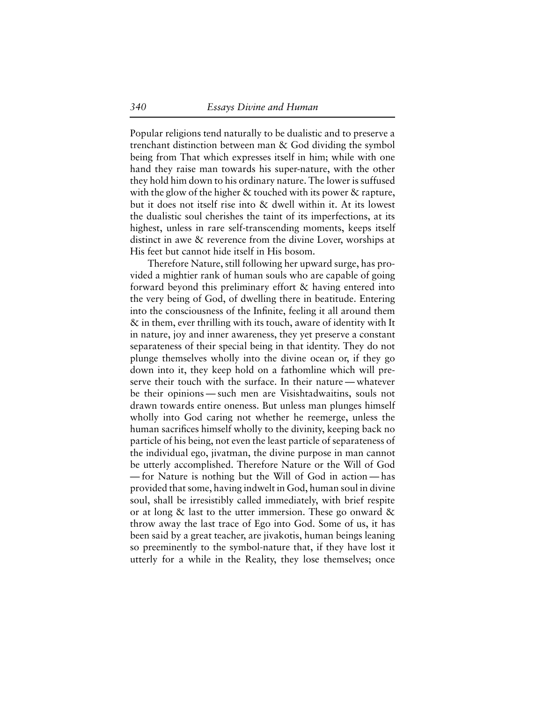Popular religions tend naturally to be dualistic and to preserve a trenchant distinction between man & God dividing the symbol being from That which expresses itself in him; while with one hand they raise man towards his super-nature, with the other they hold him down to his ordinary nature. The lower is suffused with the glow of the higher & touched with its power & rapture, but it does not itself rise into & dwell within it. At its lowest the dualistic soul cherishes the taint of its imperfections, at its highest, unless in rare self-transcending moments, keeps itself distinct in awe & reverence from the divine Lover, worships at His feet but cannot hide itself in His bosom.

Therefore Nature, still following her upward surge, has provided a mightier rank of human souls who are capable of going forward beyond this preliminary effort & having entered into the very being of God, of dwelling there in beatitude. Entering into the consciousness of the Infinite, feeling it all around them & in them, ever thrilling with its touch, aware of identity with It in nature, joy and inner awareness, they yet preserve a constant separateness of their special being in that identity. They do not plunge themselves wholly into the divine ocean or, if they go down into it, they keep hold on a fathomline which will preserve their touch with the surface. In their nature — whatever be their opinions — such men are Visishtadwaitins, souls not drawn towards entire oneness. But unless man plunges himself wholly into God caring not whether he reemerge, unless the human sacrifices himself wholly to the divinity, keeping back no particle of his being, not even the least particle of separateness of the individual ego, jivatman, the divine purpose in man cannot be utterly accomplished. Therefore Nature or the Will of God — for Nature is nothing but the Will of God in action — has provided that some, having indwelt in God, human soul in divine soul, shall be irresistibly called immediately, with brief respite or at long  $\&$  last to the utter immersion. These go onward  $\&$ throw away the last trace of Ego into God. Some of us, it has been said by a great teacher, are jivakotis, human beings leaning so preeminently to the symbol-nature that, if they have lost it utterly for a while in the Reality, they lose themselves; once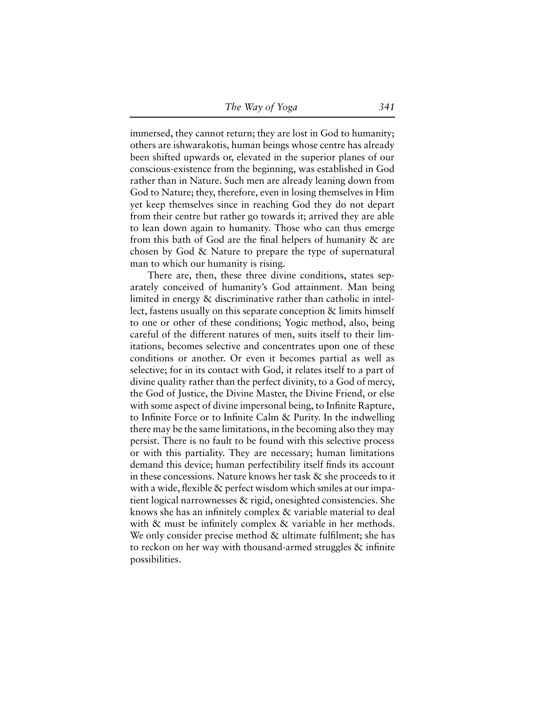immersed, they cannot return; they are lost in God to humanity; others are ishwarakotis, human beings whose centre has already been shifted upwards or, elevated in the superior planes of our conscious-existence from the beginning, was established in God rather than in Nature. Such men are already leaning down from God to Nature; they, therefore, even in losing themselves in Him yet keep themselves since in reaching God they do not depart from their centre but rather go towards it; arrived they are able to lean down again to humanity. Those who can thus emerge from this bath of God are the final helpers of humanity & are chosen by God & Nature to prepare the type of supernatural man to which our humanity is rising.

There are, then, these three divine conditions, states separately conceived of humanity's God attainment. Man being limited in energy & discriminative rather than catholic in intellect, fastens usually on this separate conception & limits himself to one or other of these conditions; Yogic method, also, being careful of the different natures of men, suits itself to their limitations, becomes selective and concentrates upon one of these conditions or another. Or even it becomes partial as well as selective; for in its contact with God, it relates itself to a part of divine quality rather than the perfect divinity, to a God of mercy, the God of Justice, the Divine Master, the Divine Friend, or else with some aspect of divine impersonal being, to Infinite Rapture, to Infinite Force or to Infinite Calm & Purity. In the indwelling there may be the same limitations, in the becoming also they may persist. There is no fault to be found with this selective process or with this partiality. They are necessary; human limitations demand this device; human perfectibility itself finds its account in these concessions. Nature knows her task & she proceeds to it with a wide, flexible & perfect wisdom which smiles at our impatient logical narrownesses & rigid, onesighted consistencies. She knows she has an infinitely complex & variable material to deal with & must be infinitely complex & variable in her methods. We only consider precise method & ultimate fulfilment; she has to reckon on her way with thousand-armed struggles & infinite possibilities.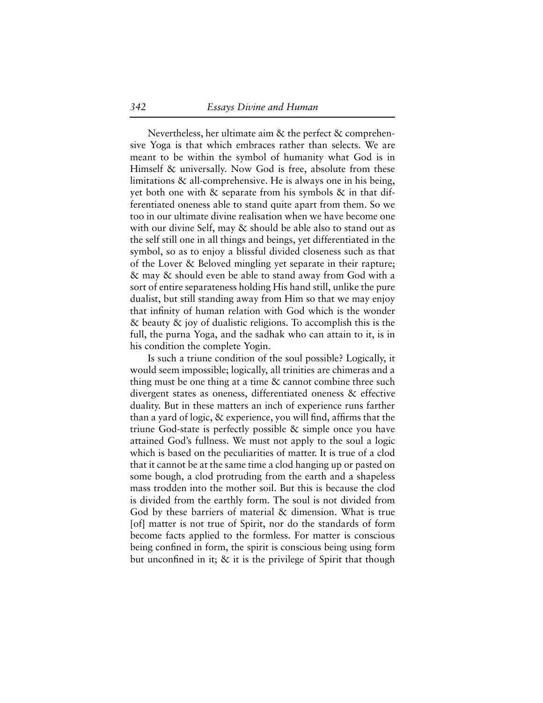Nevertheless, her ultimate aim & the perfect & comprehensive Yoga is that which embraces rather than selects. We are meant to be within the symbol of humanity what God is in Himself & universally. Now God is free, absolute from these limitations & all-comprehensive. He is always one in his being, yet both one with  $\&$  separate from his symbols  $\&$  in that differentiated oneness able to stand quite apart from them. So we too in our ultimate divine realisation when we have become one with our divine Self, may & should be able also to stand out as the self still one in all things and beings, yet differentiated in the symbol, so as to enjoy a blissful divided closeness such as that of the Lover & Beloved mingling yet separate in their rapture; & may & should even be able to stand away from God with a sort of entire separateness holding His hand still, unlike the pure dualist, but still standing away from Him so that we may enjoy that infinity of human relation with God which is the wonder & beauty & joy of dualistic religions. To accomplish this is the full, the purna Yoga, and the sadhak who can attain to it, is in his condition the complete Yogin.

Is such a triune condition of the soul possible? Logically, it would seem impossible; logically, all trinities are chimeras and a thing must be one thing at a time & cannot combine three such divergent states as oneness, differentiated oneness & effective duality. But in these matters an inch of experience runs farther than a yard of logic, & experience, you will find, affirms that the triune God-state is perfectly possible & simple once you have attained God's fullness. We must not apply to the soul a logic which is based on the peculiarities of matter. It is true of a clod that it cannot be at the same time a clod hanging up or pasted on some bough, a clod protruding from the earth and a shapeless mass trodden into the mother soil. But this is because the clod is divided from the earthly form. The soul is not divided from God by these barriers of material & dimension. What is true [of] matter is not true of Spirit, nor do the standards of form become facts applied to the formless. For matter is conscious being confined in form, the spirit is conscious being using form but unconfined in it; & it is the privilege of Spirit that though